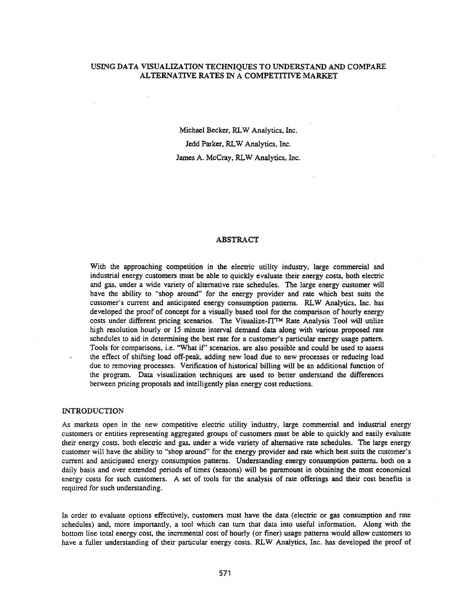## USING DATA VISUALIZATION TECHNIQUES TO UNDERSTAND AND COMPARE ALTERNATIVE RATES IN A COMPETITIVE MARKET

Michael Becker, RLW Analytics, Inc. Jedd Parker, RLW Analytics, Inc. James A. McCray, RLW Analytics, Inc.

# ABSTRACT

With the approaching competition in the electric utility industry, large commercial and industrial energy customers must be able to quickly evaluate their energy costs, both electric and gas, under a wide variety of alternative rate schedules. The large energy customer will have the ability to "shop around" for the energy provider and rate which best suits the customer's current and anticipated energy consumption patterns. RLW Analytics, Inc. has developed the proof of concept for a visually based tool for the comparison of hourly energy costs under different pricing scenarios. The Visualize-fTTM Rate Analysis Tool will utilize high resolution hourly or 15 minute interval demand data along with various proposed rate schedules to aid in determining the best rate for a customer's particular energy usage pattern. Tools for comparisons, i.e. "What if' scenarios, are also possible and could be used to assess the effect of shifting load off-peak, adding new load due to new processes or reducing load due to removing processes. Verification of historical billing will be an additional function of the program. Data visualization techniques are used to better understand the differences between pricing proposals and intelligently plan energy cost reductions.

#### INTRODUCTION

As markets open in the new competitive electric utility industry, large commercial and industrial energy customers or entities representing aggregated groups of customers must be able to quickly and easily evaluate their energy costs, both electric and gas, under a wide variety of alternative rate schedules. The large energy customer will have the ability to "shop around" for the energy provider and rate which best suits the customer's current and anticipated energy consumption patterns. Understanding energy consumption patterns. both on a daily basis and over extended periods of times (seasons) will be paramount in obtaining the most economical energy costs for such customers. A set of tools for the analysis of rate offerings and their cost benefits is required for such understanding.

In order to evaluate options effectively, customers must have the data (electric or gas consumption and rate schedules) and, more importantly, a tool which can turn that data into useful information. Along with the bottom line total energy cost, the incremental cost of hourly (or finer) usage patterns would allow customers to have a fuller understanding of their particular energy costs. RLW Analytics, Inc. has developed the proof of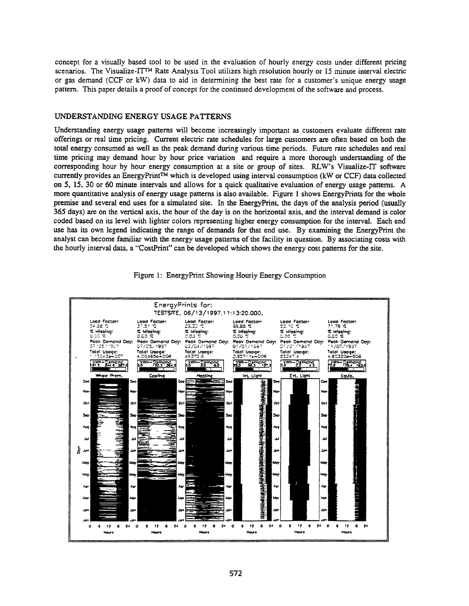concept for a visually based tool to be used in the evaluation of hourly energy costs under different pricing scenarios. The Visualize-ITTM Rate Analysis Tool utilizes high resolution hourly or 15 minute interval electric or gas demand (CCF or kW) data to aid in determining the best rate for a customer's unique energy usage pattern. This paper details a proof of concept for the continued development of the software and process.

### UNDERSTANDING ENERGY USAGE PATTERNS

Understanding energy usage patterns will become increasingly important as customers evaluate different rate offerings or real time pricing. Current electric rate schedules for large customers are often based on both the total energy consumed as well as the peak demand during various time periods. Future rate schedules and real time pricing may demand hour by hour price variation and require a more thorough understanding of the corresponding hour by hour energy consumption at a site or group of sites. RLW's Visualize-IT software currently provides an EnergyPrint™ which is developed using interval consumption (kW or CCF) data collected on 5. 15. 30 or 60 minute intervals and allows for a quick qualitative evaluation of energy usage patterns. A more quantitative analysis of energy usage patterns is also available. Figure 1 shows EnergyPrints for the whole premise and several end uses for a simulated site. In the EnergyPrint, the days of the analysis period (usually 365 days) are on the vertical axis, the hour of the day is on the horizontal axis, and the interval demand is color coded based on its level with lighter colors representing higher energy consumption for the interval. Each end use has its own legend indicating the range of demands for that end use. By examining the EnergyPrint the analyst can become familiar with the energy usage patterns of the facility in question. By associating costs with the hourly interval data, a "CostPrint" can be developed which shows the energy cost patterns for the site.



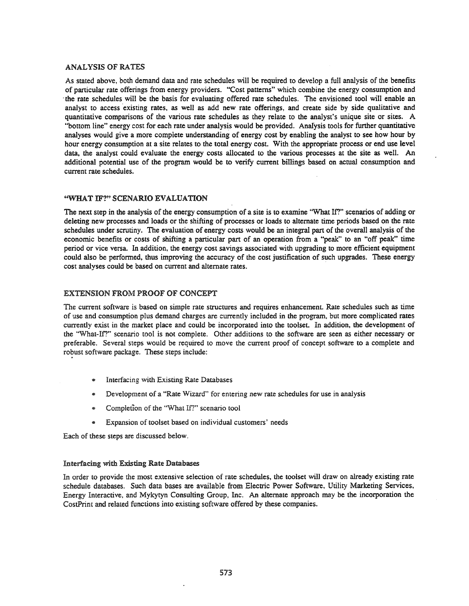## ANALYSIS OF RATES

As stated above, both demand data and rate schedules will be required to develop a full analysis of the benefits of particular rate offerings from energy providers. "Cost patterns" which combine the energy consumption and .the rate schedules will be the basis for evaluating offered rate schedules. The envisioned tool will enable an analyst to access existing rates, as well as add new rate offerings, and create side by side qualitative and quantitative comparisons of the various rate schedules as they relate to the analyst's unique site or sites. A "bottom line" energy cost for each rate under analysis would be provided. Anafysis tools for further quantitative analyses would give a more complete understanding of energy cost by enabling the analyst to see how hour by hour energy consumption at a site relates to the total energy cost. With the appropriate process or end use level data, the analyst could evaluate the energy costs allocated to the various processes at the site as well. An additional potential use of the program would be to verify current billings based on actual consumption and current rate schedules.

## "WHAT IF?" SCENARIO EVALUATION

The next step in the analysis of the energy consumption of a site is to examine "What If?" scenarios of adding or deleting new processes and loads or the shifting of processes or loads to alternate time periods based on the rate schedules under scrutiny. The evaluation of energy costs would be an integral part of the overall analysis of the economic benefits or costs of shifting a particular part of an operation from a "peak" to an "off peak" time period or vice versa. In addition, the energy cost savings associated with upgrading to more efficient equipment could also be performed, thus improving the accuracy of the cost justification of such upgrades. These energy cost analyses could be based on current and alternate rates.

## EXTENSION FROM PROOF OF CONCEPT

The current software is based on simple rate structures and requires enhancement. Rate schedules such as time of use and consumption plus demand charges are currently included in the program, but more complicated rates currently exist in the market place and could be incorporated into the toolset. In addition, the development of the "What-If?" scenario tool is not complete. Other additions to the software are seen as either necessary or preferable. Several steps would be required to move the current proof of concept software to a complete and robust software package. These steps include:

- Interfacing with Existing Rate Databases
- Development of a "Rate Wizard" for entering new rate schedules for use in analysis
- Completion of the "What If?" scenario tool
- Expansion of toolset based on individual customers' needs

Each of these steps are discussed below.

## Interlacing with Existing Rate Databases

In order to provide the most extensive selection of rate schedules, the toolset will draw on already existing rate schedule databases. Such data bases are available from Electric Power Software, Utility Marketing Services, Energy Interactive, and Mykytyn Consulting Group, Inc. An alternate approach may be the incorporation the CostPrint and related functions into existing software offered by these companies.